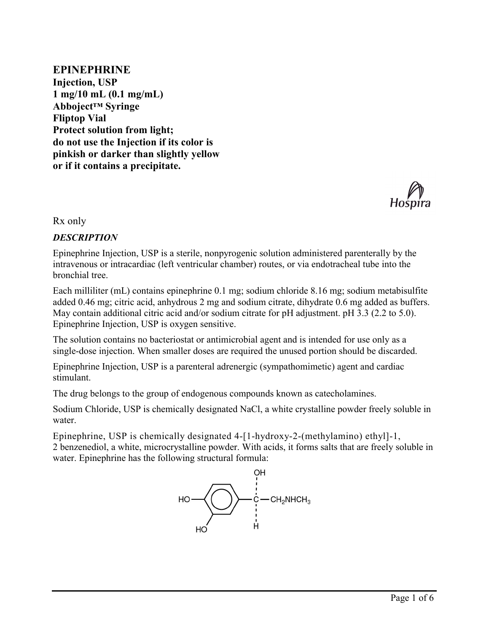**EPINEPHRINE Injection, USP 1 mg/10 mL (0.1 mg/mL) Abboject™ Syringe Fliptop Vial Protect solution from light; do not use the Injection if its color is pinkish or darker than slightly yellow or if it contains a precipitate.**



Rx only

### *DESCRIPTION*

Epinephrine Injection, USP is a sterile, nonpyrogenic solution administered parenterally by the intravenous or intracardiac (left ventricular chamber) routes, or via endotracheal tube into the bronchial tree.

Each milliliter (mL) contains epinephrine 0.1 mg; sodium chloride 8.16 mg; sodium metabisulfite added 0.46 mg; citric acid, anhydrous 2 mg and sodium citrate, dihydrate 0.6 mg added as buffers. May contain additional citric acid and/or sodium citrate for pH adjustment. pH 3.3 (2.2 to 5.0). Epinephrine Injection, USP is oxygen sensitive.

The solution contains no bacteriostat or antimicrobial agent and is intended for use only as a single-dose injection. When smaller doses are required the unused portion should be discarded.

Epinephrine Injection, USP is a parenteral adrenergic (sympathomimetic) agent and cardiac stimulant.

The drug belongs to the group of endogenous compounds known as catecholamines.

Sodium Chloride, USP is chemically designated NaCl, a white crystalline powder freely soluble in water.

Epinephrine, USP is chemically designated  $4-1-1$ -hydroxy-2-(methylamino) ethyl $-1$ , 2 benzenediol, a white, microcrystalline powder. With acids, it forms salts that are freely soluble in water. Epinephrine has the following structural formula:

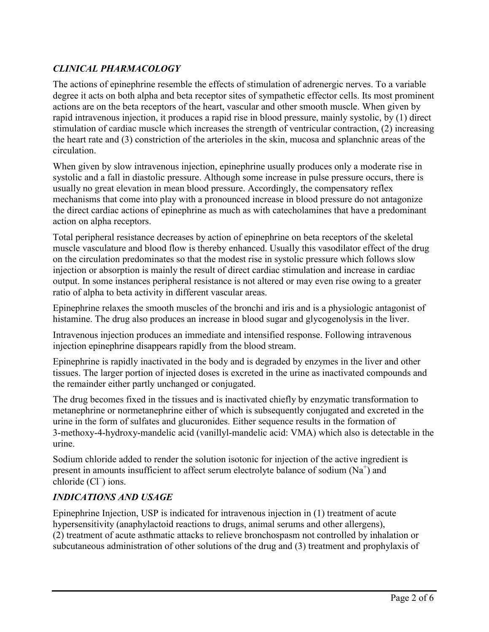# *CLINICAL PHARMACOLOGY*

The actions of epinephrine resemble the effects of stimulation of adrenergic nerves. To a variable degree it acts on both alpha and beta receptor sites of sympathetic effector cells. Its most prominent actions are on the beta receptors of the heart, vascular and other smooth muscle. When given by rapid intravenous injection, it produces a rapid rise in blood pressure, mainly systolic, by (1) direct stimulation of cardiac muscle which increases the strength of ventricular contraction, (2) increasing the heart rate and (3) constriction of the arterioles in the skin, mucosa and splanchnic areas of the circulation.

When given by slow intravenous injection, epinephrine usually produces only a moderate rise in systolic and a fall in diastolic pressure. Although some increase in pulse pressure occurs, there is usually no great elevation in mean blood pressure. Accordingly, the compensatory reflex mechanisms that come into play with a pronounced increase in blood pressure do not antagonize the direct cardiac actions of epinephrine as much as with catecholamines that have a predominant action on alpha receptors.

Total peripheral resistance decreases by action of epinephrine on beta receptors of the skeletal muscle vasculature and blood flow is thereby enhanced. Usually this vasodilator effect of the drug on the circulation predominates so that the modest rise in systolic pressure which follows slow injection or absorption is mainly the result of direct cardiac stimulation and increase in cardiac output. In some instances peripheral resistance is not altered or may even rise owing to a greater ratio of alpha to beta activity in different vascular areas.

Epinephrine relaxes the smooth muscles of the bronchi and iris and is a physiologic antagonist of histamine. The drug also produces an increase in blood sugar and glycogenolysis in the liver.

Intravenous injection produces an immediate and intensified response. Following intravenous injection epinephrine disappears rapidly from the blood stream.

Epinephrine is rapidly inactivated in the body and is degraded by enzymes in the liver and other tissues. The larger portion of injected doses is excreted in the urine as inactivated compounds and the remainder either partly unchanged or conjugated.

The drug becomes fixed in the tissues and is inactivated chiefly by enzymatic transformation to metanephrine or normetanephrine either of which is subsequently conjugated and excreted in the urine in the form of sulfates and glucuronides. Either sequence results in the formation of 3-methoxy-4-hydroxy-mandelic acid (vanillyl-mandelic acid: VMA) which also is detectable in the urine.

Sodium chloride added to render the solution isotonic for injection of the active ingredient is present in amounts insufficient to affect serum electrolyte balance of sodium  $(Na^+)$  and chloride (Cl<sup>-</sup>) ions.

#### *INDICATIONS AND USAGE*

Epinephrine Injection, USP is indicated for intravenous injection in (1) treatment of acute hypersensitivity (anaphylactoid reactions to drugs, animal serums and other allergens), (2) treatment of acute asthmatic attacks to relieve bronchospasm not controlled by inhalation or subcutaneous administration of other solutions of the drug and (3) treatment and prophylaxis of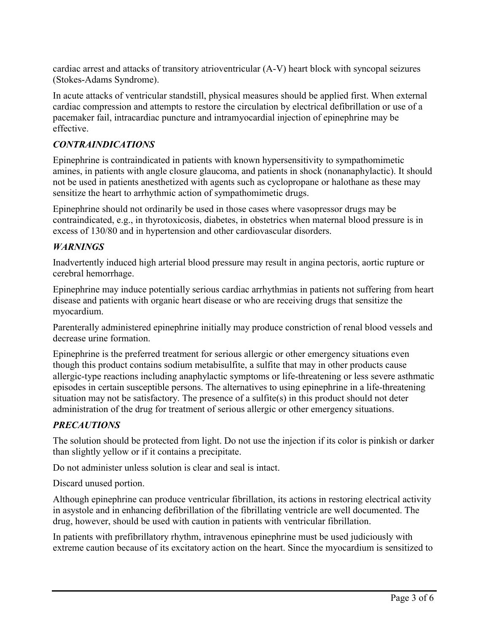cardiac arrest and attacks of transitory atrioventricular (A-V) heart block with syncopal seizures (Stokes-Adams Syndrome).

In acute attacks of ventricular standstill, physical measures should be applied first. When external cardiac compression and attempts to restore the circulation by electrical defibrillation or use of a pacemaker fail, intracardiac puncture and intramyocardial injection of epinephrine may be effective.

# *CONTRAINDICATIONS*

Epinephrine is contraindicated in patients with known hypersensitivity to sympathomimetic amines, in patients with angle closure glaucoma, and patients in shock (nonanaphylactic). It should not be used in patients anesthetized with agents such as cyclopropane or halothane as these may sensitize the heart to arrhythmic action of sympathomimetic drugs.

Epinephrine should not ordinarily be used in those cases where vasopressor drugs may be contraindicated, e.g., in thyrotoxicosis, diabetes, in obstetrics when maternal blood pressure is in excess of 130/80 and in hypertension and other cardiovascular disorders.

### *WARNINGS*

Inadvertently induced high arterial blood pressure may result in angina pectoris, aortic rupture or cerebral hemorrhage.

Epinephrine may induce potentially serious cardiac arrhythmias in patients not suffering from heart disease and patients with organic heart disease or who are receiving drugs that sensitize the myocardium.

Parenterally administered epinephrine initially may produce constriction of renal blood vessels and decrease urine formation.

Epinephrine is the preferred treatment for serious allergic or other emergency situations even though this product contains sodium metabisulfite, a sulfite that may in other products cause allergic-type reactions including anaphylactic symptoms or life-threatening or less severe asthmatic episodes in certain susceptible persons. The alternatives to using epinephrine in a life-threatening situation may not be satisfactory. The presence of a sulfite(s) in this product should not deter administration of the drug for treatment of serious allergic or other emergency situations.

### *PRECAUTIONS*

The solution should be protected from light. Do not use the injection if its color is pinkish or darker than slightly yellow or if it contains a precipitate.

Do not administer unless solution is clear and seal is intact.

Discard unused portion.

Although epinephrine can produce ventricular fibrillation, its actions in restoring electrical activity in asystole and in enhancing defibrillation of the fibrillating ventricle are well documented. The drug, however, should be used with caution in patients with ventricular fibrillation.

In patients with prefibrillatory rhythm, intravenous epinephrine must be used judiciously with extreme caution because of its excitatory action on the heart. Since the myocardium is sensitized to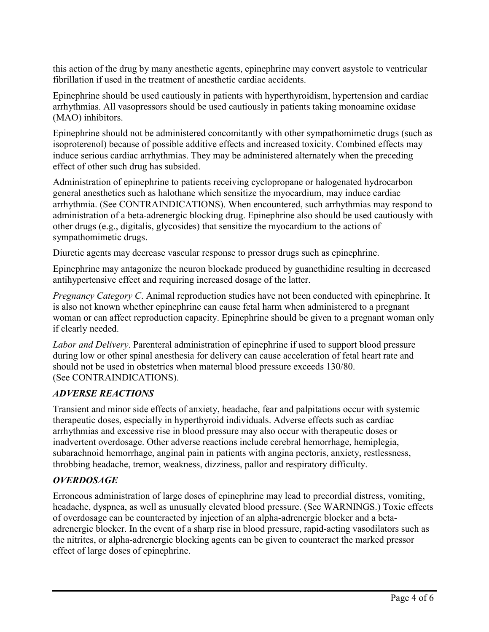this action of the drug by many anesthetic agents, epinephrine may convert asystole to ventricular fibrillation if used in the treatment of anesthetic cardiac accidents.

Epinephrine should be used cautiously in patients with hyperthyroidism, hypertension and cardiac arrhythmias. All vasopressors should be used cautiously in patients taking monoamine oxidase (MAO) inhibitors.

Epinephrine should not be administered concomitantly with other sympathomimetic drugs (such as isoproterenol) because of possible additive effects and increased toxicity. Combined effects may induce serious cardiac arrhythmias. They may be administered alternately when the preceding effect of other such drug has subsided.

Administration of epinephrine to patients receiving cyclopropane or halogenated hydrocarbon general anesthetics such as halothane which sensitize the myocardium, may induce cardiac arrhythmia. (See CONTRAINDICATIONS). When encountered, such arrhythmias may respond to administration of a beta-adrenergic blocking drug. Epinephrine also should be used cautiously with other drugs (e.g., digitalis, glycosides) that sensitize the myocardium to the actions of sympathomimetic drugs.

Diuretic agents may decrease vascular response to pressor drugs such as epinephrine.

Epinephrine may antagonize the neuron blockade produced by guanethidine resulting in decreased antihypertensive effect and requiring increased dosage of the latter.

*Pregnancy Category C*. Animal reproduction studies have not been conducted with epinephrine. It is also not known whether epinephrine can cause fetal harm when administered to a pregnant woman or can affect reproduction capacity. Epinephrine should be given to a pregnant woman only if clearly needed.

*Labor and Delivery*. Parenteral administration of epinephrine if used to support blood pressure during low or other spinal anesthesia for delivery can cause acceleration of fetal heart rate and should not be used in obstetrics when maternal blood pressure exceeds 130/80. (See CONTRAINDICATIONS).

### *ADVERSE REACTIONS*

Transient and minor side effects of anxiety, headache, fear and palpitations occur with systemic therapeutic doses, especially in hyperthyroid individuals. Adverse effects such as cardiac arrhythmias and excessive rise in blood pressure may also occur with therapeutic doses or inadvertent overdosage. Other adverse reactions include cerebral hemorrhage, hemiplegia, subarachnoid hemorrhage, anginal pain in patients with angina pectoris, anxiety, restlessness, throbbing headache, tremor, weakness, dizziness, pallor and respiratory difficulty.

### *OVERDOSAGE*

Erroneous administration of large doses of epinephrine may lead to precordial distress, vomiting, headache, dyspnea, as well as unusually elevated blood pressure. (See WARNINGS.) Toxic effects of overdosage can be counteracted by injection of an alpha-adrenergic blocker and a betaadrenergic blocker. In the event of a sharp rise in blood pressure, rapid-acting vasodilators such as the nitrites, or alpha-adrenergic blocking agents can be given to counteract the marked pressor effect of large doses of epinephrine.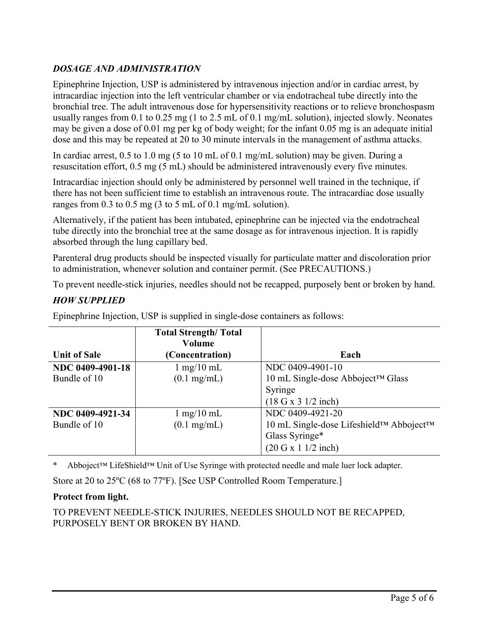# *DOSAGE AND ADMINISTRATION*

Epinephrine Injection, USP is administered by intravenous injection and/or in cardiac arrest, by intracardiac injection into the left ventricular chamber or via endotracheal tube directly into the bronchial tree. The adult intravenous dose for hypersensitivity reactions or to relieve bronchospasm usually ranges from 0.1 to 0.25 mg (1 to 2.5 mL of 0.1 mg/mL solution), injected slowly. Neonates may be given a dose of 0.01 mg per kg of body weight; for the infant 0.05 mg is an adequate initial dose and this may be repeated at 20 to 30 minute intervals in the management of asthma attacks.

In cardiac arrest, 0.5 to 1.0 mg (5 to 10 mL of 0.1 mg/mL solution) may be given. During a resuscitation effort, 0.5 mg (5 mL) should be administered intravenously every five minutes.

Intracardiac injection should only be administered by personnel well trained in the technique, if there has not been sufficient time to establish an intravenous route. The intracardiac dose usually ranges from 0.3 to 0.5 mg (3 to 5 mL of 0.1 mg/mL solution).

Alternatively, if the patient has been intubated, epinephrine can be injected via the endotracheal tube directly into the bronchial tree at the same dosage as for intravenous injection. It is rapidly absorbed through the lung capillary bed.

Parenteral drug products should be inspected visually for particulate matter and discoloration prior to administration, whenever solution and container permit. (See PRECAUTIONS.)

To prevent needle-stick injuries, needles should not be recapped, purposely bent or broken by hand.

### *HOW SUPPLIED*

|                     | <b>Total Strength/ Total</b><br>Volume |                                         |
|---------------------|----------------------------------------|-----------------------------------------|
| <b>Unit of Sale</b> | (Concentration)                        | Each                                    |
| NDC 0409-4901-18    | $1 \text{ mg}/10 \text{ mL}$           | NDC 0409-4901-10                        |
| Bundle of 10        | $(0.1 \text{ mg/mL})$                  | 10 mL Single-dose Abboject™ Glass       |
|                     |                                        | Syringe                                 |
|                     |                                        | (18 G x 3 1/2 inch)                     |
| NDC 0409-4921-34    | $1 \text{ mg}/10 \text{ mL}$           | NDC 0409-4921-20                        |
| Bundle of 10        | $(0.1 \text{ mg/mL})$                  | 10 mL Single-dose Lifeshield™ Abboject™ |
|                     |                                        | Glass Syringe*                          |
|                     |                                        | (20 G x 1 1/2 inch)                     |

Epinephrine Injection, USP is supplied in single-dose containers as follows:

\* Abboject™ LifeShield™ Unit of Use Syringe with protected needle and male luer lock adapter.

Store at 20 to 25ºC (68 to 77ºF). [See USP Controlled Room Temperature.]

#### **Protect from light.**

TO PREVENT NEEDLE-STICK INJURIES, NEEDLES SHOULD NOT BE RECAPPED, PURPOSELY BENT OR BROKEN BY HAND.